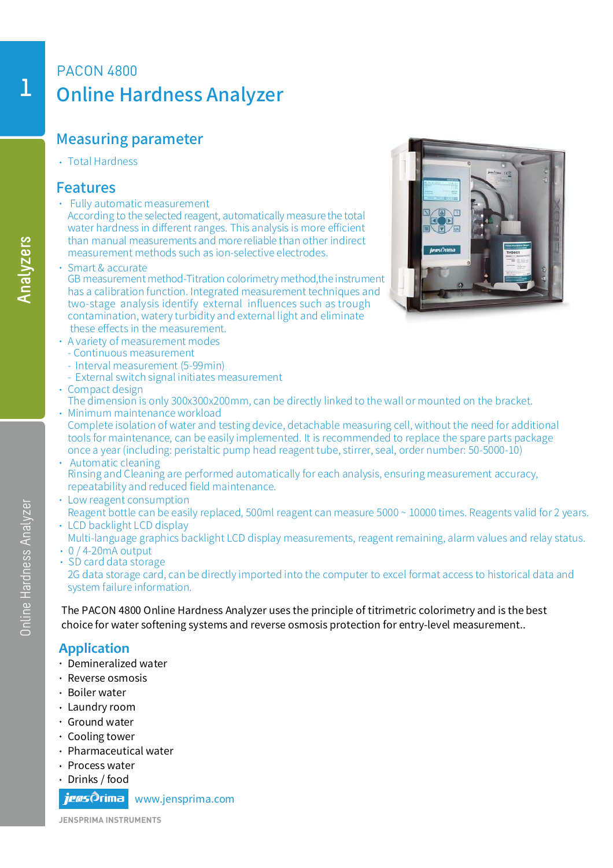# PACON 4800 Online Hardness Analyzer

### Measuring parameter

Total Hardness

#### Features

Fully automatic measurement

According to the selected reagent, automatically measure the total water hardness in different ranges. This analysis is more efficient than manual measurements and more reliable than other indirect measurement methods such as ion-selective electrodes.

- Smart & accurate
- GB measurement method-Titration colorimetry method,the instrument has a calibration function. Integrated measurement techniques and two-stage analysis identify external influences such as trough contamination, watery turbidity and external light and eliminate these effects in the measurement.
- A variety of measurement modes
- Continuous measurement
- Interval measurement (5-99min)
- External switch signal initiates measurement
- Compact design
	- The dimension is only 300x300x200mm, can be directly linked to the wall or mounted on the bracket.
- Complete isolation of water and testing device, detachable measuring cell, without the need for additional tools for maintenance, can be easily implemented. It is recommended to replace the spare parts package once a year (including: peristaltic pump head reagent tube, stirrer, seal, order number: 50-5000-10) Minimum maintenance workload
- Automatic cleaning Rinsing and Cleaning are performed automatically for each analysis, ensuring measurement accuracy, repeatability and reduced field maintenance.
- Low reagent consumption
- Reagent bottle can be easily replaced, 500ml reagent can measure 5000 ~ 10000 times. Reagents valid for 2 years. • LCD backlight LCD display
- Multi-language graphics backlight LCD display measurements, reagent remaining, alarm values and relay status.  $\cdot$  0 / 4-20mA output
- SD card data storage

2G data storage card, can be directly imported into the computer to excel format access to historical data and system failure information.

The PACON 4800 Online Hardness Analyzer uses the principle of titrimetric colorimetry and is the best choice for water softening systems and reverse osmosis protection for entry-level measurement..

#### **Application**

- Demineralized water
- Reverse osmosis
- Boiler water
- Laundry room
- Ground water
- Cooling tower
- Pharmaceutical water
- Process water
- Drinks / food

*ieas*∂rima www.jensprima.com

**JENSPRIMA INSTRUMENTS**



**Analyzers**

Online Hardness Analyzer

Online Hardness Analyzer